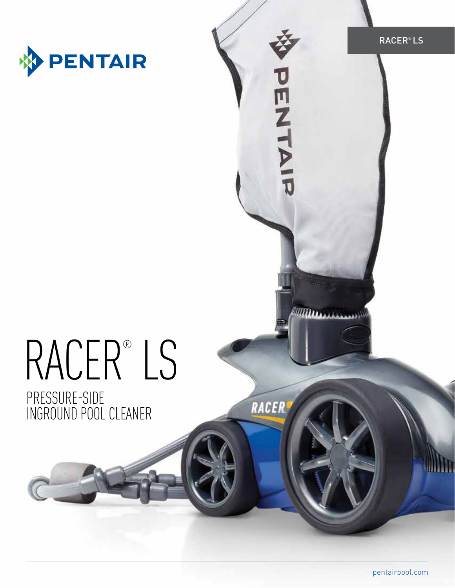

DENNIN

Ш.

RACER

# RACER® LS

PRESSURE-SIDE INGROUND POOL CLEANER

pentairpool.com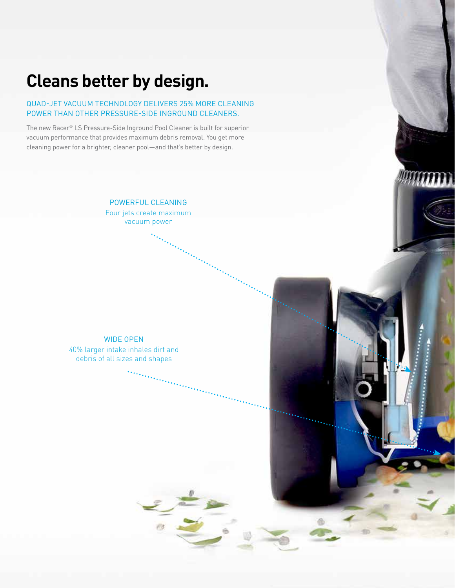## **Cleans better by design.**

#### QUAD-JET VACUUM TECHNOLOGY DELIVERS 25% MORE CLEANING POWER THAN OTHER PRESSURE-SIDE INGROUND CLEANERS.

The new Racer® LS Pressure-Side Inground Pool Cleaner is built for superior vacuum performance that provides maximum debris removal. You get more cleaning power for a brighter, cleaner pool—and that's better by design.

> POWERFUL CLEANING Four jets create maximum vacuum power

WIDE OPEN 40% larger intake inhales dirt and debris of all sizes and shapes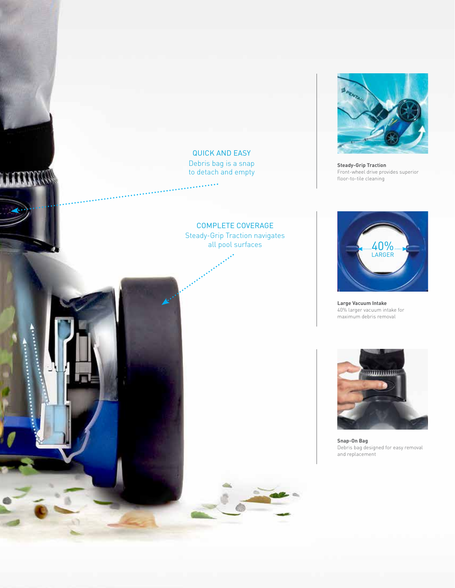